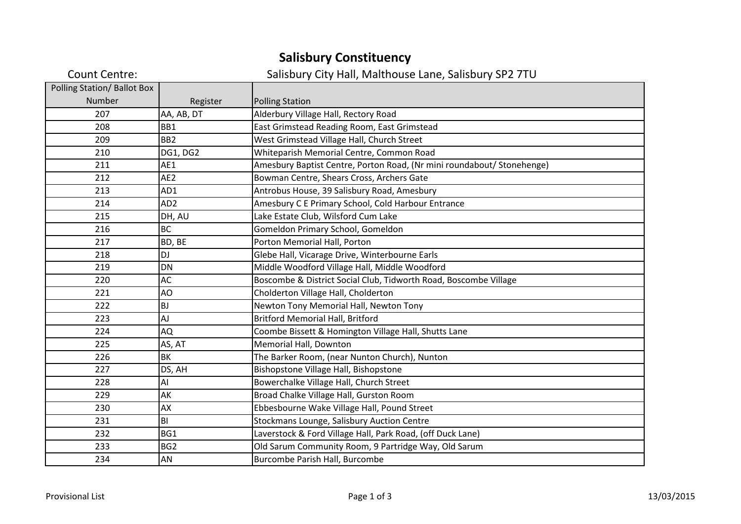## **Salisbury Constituency**

| <b>Count Centre:</b>        |                 | Salisbury City Hall, Malthouse Lane, Salisbury SP2 7TU                 |
|-----------------------------|-----------------|------------------------------------------------------------------------|
| Polling Station/ Ballot Box |                 |                                                                        |
| Number                      | Register        | <b>Polling Station</b>                                                 |
| 207                         | AA, AB, DT      | Alderbury Village Hall, Rectory Road                                   |
| 208                         | BB1             | East Grimstead Reading Room, East Grimstead                            |
| 209                         | BB <sub>2</sub> | West Grimstead Village Hall, Church Street                             |
| 210                         | <b>DG1, DG2</b> | Whiteparish Memorial Centre, Common Road                               |
| 211                         | AE1             | Amesbury Baptist Centre, Porton Road, (Nr mini roundabout/ Stonehenge) |
| 212                         | AE <sub>2</sub> | Bowman Centre, Shears Cross, Archers Gate                              |
| 213                         | AD1             | Antrobus House, 39 Salisbury Road, Amesbury                            |
| 214                         | AD <sub>2</sub> | Amesbury C E Primary School, Cold Harbour Entrance                     |
| 215                         | DH, AU          | Lake Estate Club, Wilsford Cum Lake                                    |
| 216                         | <b>BC</b>       | Gomeldon Primary School, Gomeldon                                      |
| 217                         | BD, BE          | Porton Memorial Hall, Porton                                           |
| 218                         | DJ              | Glebe Hall, Vicarage Drive, Winterbourne Earls                         |
| 219                         | <b>DN</b>       | Middle Woodford Village Hall, Middle Woodford                          |
| 220                         | AC              | Boscombe & District Social Club, Tidworth Road, Boscombe Village       |
| 221                         | AO              | Cholderton Village Hall, Cholderton                                    |
| 222                         | <b>BJ</b>       | Newton Tony Memorial Hall, Newton Tony                                 |
| 223                         | AJ              | <b>Britford Memorial Hall, Britford</b>                                |
| 224                         | AQ              | Coombe Bissett & Homington Village Hall, Shutts Lane                   |
| 225                         | AS, AT          | Memorial Hall, Downton                                                 |
| 226                         | BK              | The Barker Room, (near Nunton Church), Nunton                          |
| 227                         | DS, AH          | Bishopstone Village Hall, Bishopstone                                  |
| 228                         | AI              | Bowerchalke Village Hall, Church Street                                |
| 229                         | AK              | Broad Chalke Village Hall, Gurston Room                                |
| 230                         | AX              | Ebbesbourne Wake Village Hall, Pound Street                            |
| 231                         | BI              | Stockmans Lounge, Salisbury Auction Centre                             |
| 232                         | BG1             | Laverstock & Ford Village Hall, Park Road, (off Duck Lane)             |
| 233                         | BG <sub>2</sub> | Old Sarum Community Room, 9 Partridge Way, Old Sarum                   |
| 234                         | AN              | Burcombe Parish Hall, Burcombe                                         |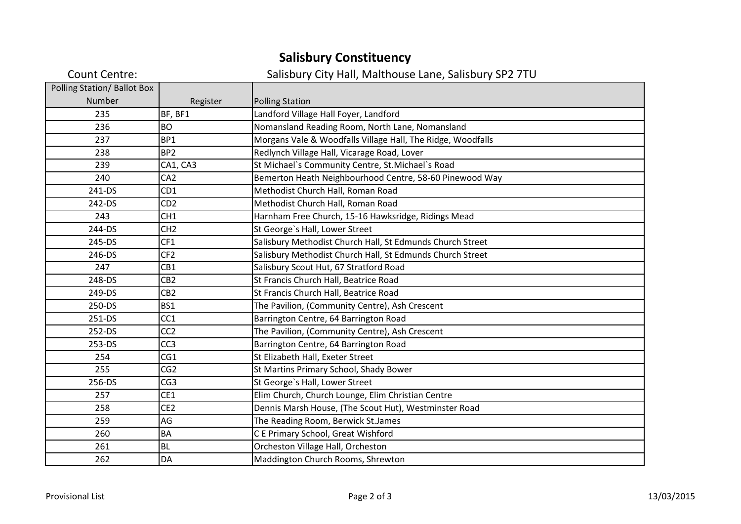## **Salisbury Constituency**

| <b>Count Centre:</b>               |                 | Salisbury City Hall, Malthouse Lane, Salisbury SP2 7TU      |
|------------------------------------|-----------------|-------------------------------------------------------------|
| <b>Polling Station/ Ballot Box</b> |                 |                                                             |
| Number                             | Register        | <b>Polling Station</b>                                      |
| 235                                | BF, BF1         | Landford Village Hall Foyer, Landford                       |
| 236                                | <b>BO</b>       | Nomansland Reading Room, North Lane, Nomansland             |
| 237                                | BP1             | Morgans Vale & Woodfalls Village Hall, The Ridge, Woodfalls |
| 238                                | BP <sub>2</sub> | Redlynch Village Hall, Vicarage Road, Lover                 |
| 239                                | CA1, CA3        | St Michael's Community Centre, St. Michael's Road           |
| 240                                | CA <sub>2</sub> | Bemerton Heath Neighbourhood Centre, 58-60 Pinewood Way     |
| 241-DS                             | CD <sub>1</sub> | Methodist Church Hall, Roman Road                           |
| 242-DS                             | CD <sub>2</sub> | Methodist Church Hall, Roman Road                           |
| 243                                | CH <sub>1</sub> | Harnham Free Church, 15-16 Hawksridge, Ridings Mead         |
| 244-DS                             | CH <sub>2</sub> | St George's Hall, Lower Street                              |
| 245-DS                             | CF1             | Salisbury Methodist Church Hall, St Edmunds Church Street   |
| 246-DS                             | CF <sub>2</sub> | Salisbury Methodist Church Hall, St Edmunds Church Street   |
| 247                                | CB1             | Salisbury Scout Hut, 67 Stratford Road                      |
| 248-DS                             | CB <sub>2</sub> | St Francis Church Hall, Beatrice Road                       |
| 249-DS                             | CB <sub>2</sub> | St Francis Church Hall, Beatrice Road                       |
| 250-DS                             | BS1             | The Pavilion, (Community Centre), Ash Crescent              |
| 251-DS                             | CC <sub>1</sub> | Barrington Centre, 64 Barrington Road                       |
| 252-DS                             | CC <sub>2</sub> | The Pavilion, (Community Centre), Ash Crescent              |
| 253-DS                             | CC <sub>3</sub> | Barrington Centre, 64 Barrington Road                       |
| 254                                | CG1             | St Elizabeth Hall, Exeter Street                            |
| 255                                | CG <sub>2</sub> | St Martins Primary School, Shady Bower                      |
| 256-DS                             | CG <sub>3</sub> | St George's Hall, Lower Street                              |
| 257                                | CE1             | Elim Church, Church Lounge, Elim Christian Centre           |
| 258                                | CE <sub>2</sub> | Dennis Marsh House, (The Scout Hut), Westminster Road       |
| 259                                | AG              | The Reading Room, Berwick St.James                          |
| 260                                | <b>BA</b>       | C E Primary School, Great Wishford                          |
| 261                                | <b>BL</b>       | Orcheston Village Hall, Orcheston                           |
| 262                                | DA              | Maddington Church Rooms, Shrewton                           |